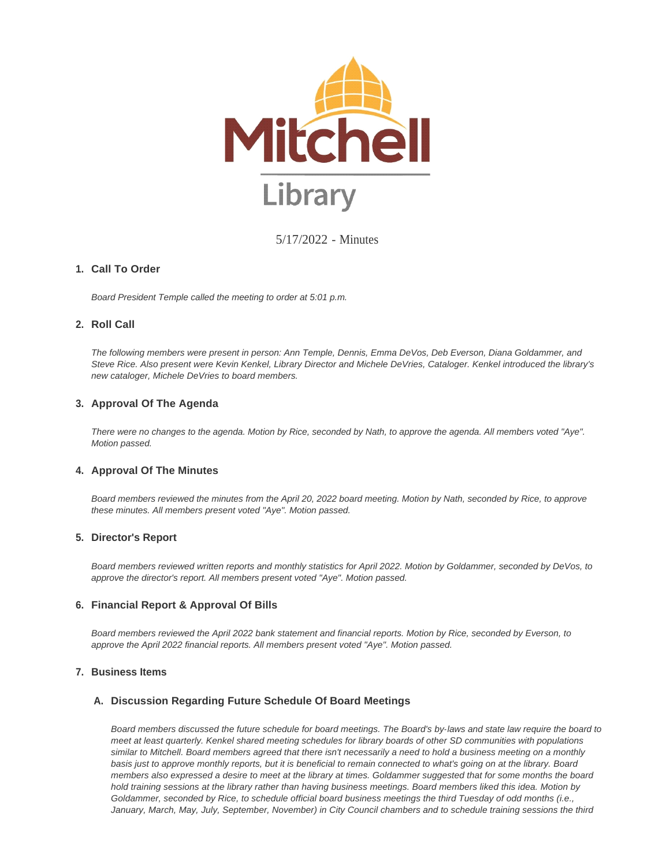

5/17/2022 - Minutes

### **Call To Order 1.**

*Board President Temple called the meeting to order at 5:01 p.m.*

# **Roll Call 2.**

*The following members were present in person: Ann Temple, Dennis, Emma DeVos, Deb Everson, Diana Goldammer, and Steve Rice. Also present were Kevin Kenkel, Library Director and Michele DeVries, Cataloger. Kenkel introduced the library's new cataloger, Michele DeVries to board members.*

# **Approval Of The Agenda 3.**

*There were no changes to the agenda. Motion by Rice, seconded by Nath, to approve the agenda. All members voted "Aye". Motion passed.*

### **4. Approval Of The Minutes**

*Board members reviewed the minutes from the April 20, 2022 board meeting. Motion by Nath, seconded by Rice, to approve these minutes. All members present voted "Aye". Motion passed.*

### **Director's Report 5.**

*Board members reviewed written reports and monthly statistics for April 2022. Motion by Goldammer, seconded by DeVos, to approve the director's report. All members present voted "Aye". Motion passed.*

# **Financial Report & Approval Of Bills 6.**

*Board members reviewed the April 2022 bank statement and financial reports. Motion by Rice, seconded by Everson, to approve the April 2022 financial reports. All members present voted "Aye". Motion passed.*

### **Business Items 7.**

# **Discussion Regarding Future Schedule Of Board Meetings A.**

*Board members discussed the future schedule for board meetings. The Board's by-laws and state law require the board to meet at least quarterly. Kenkel shared meeting schedules for library boards of other SD communities with populations similar to Mitchell. Board members agreed that there isn't necessarily a need to hold a business meeting on a monthly basis just to approve monthly reports, but it is beneficial to remain connected to what's going on at the library. Board members also expressed a desire to meet at the library at times. Goldammer suggested that for some months the board hold training sessions at the library rather than having business meetings. Board members liked this idea. Motion by Goldammer, seconded by Rice, to schedule official board business meetings the third Tuesday of odd months (i.e.,*  January, March, May, July, September, November) in City Council chambers and to schedule training sessions the third